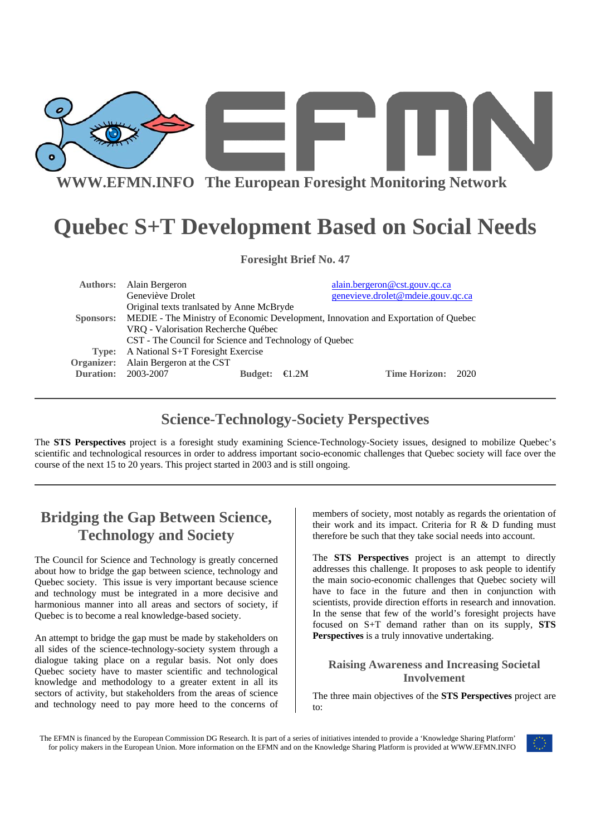

# **Quebec S+T Development Based on Social Needs**

| <b>Foresight Brief No. 47</b>             |                                                                                              |                |       |                                   |
|-------------------------------------------|----------------------------------------------------------------------------------------------|----------------|-------|-----------------------------------|
|                                           | <b>Authors:</b> Alain Bergeron                                                               |                |       | alain.bergeron@cst.gouv.qc.ca     |
|                                           | Geneviève Drolet                                                                             |                |       | genevieve.drolet@mdeie.gouv.gc.ca |
| Original texts translated by Anne McBryde |                                                                                              |                |       |                                   |
|                                           | Sponsors: MEDIE - The Ministry of Economic Development, Innovation and Exportation of Quebec |                |       |                                   |
|                                           | VRQ - Valorisation Recherche Québec                                                          |                |       |                                   |
|                                           | CST - The Council for Science and Technology of Quebec                                       |                |       |                                   |
| Type:                                     | A National S+T Foresight Exercise                                                            |                |       |                                   |
|                                           | Organizer: Alain Bergeron at the CST                                                         |                |       |                                   |
| <b>Duration:</b>                          | 2003-2007                                                                                    | <b>Budget:</b> | ∈1.2M | Time Horizon:<br>2020             |

## **Science-Technology-Society Perspectives**

The **STS Perspectives** project is a foresight study examining Science-Technology-Society issues, designed to mobilize Quebec's scientific and technological resources in order to address important socio-economic challenges that Quebec society will face over the course of the next 15 to 20 years. This project started in 2003 and is still ongoing.

## **Bridging the Gap Between Science, Technology and Society**

The Council for Science and Technology is greatly concerned about how to bridge the gap between science, technology and Quebec society. This issue is very important because science and technology must be integrated in a more decisive and harmonious manner into all areas and sectors of society, if Quebec is to become a real knowledge-based society.

An attempt to bridge the gap must be made by stakeholders on all sides of the science-technology-society system through a dialogue taking place on a regular basis. Not only does Quebec society have to master scientific and technological knowledge and methodology to a greater extent in all its sectors of activity, but stakeholders from the areas of science and technology need to pay more heed to the concerns of

members of society, most notably as regards the orientation of their work and its impact. Criteria for R & D funding must therefore be such that they take social needs into account.

The **STS Perspectives** project is an attempt to directly addresses this challenge. It proposes to ask people to identify the main socio-economic challenges that Quebec society will have to face in the future and then in conjunction with scientists, provide direction efforts in research and innovation. In the sense that few of the world's foresight projects have focused on S+T demand rather than on its supply, **STS Perspectives** is a truly innovative undertaking.

### **Raising Awareness and Increasing Societal Involvement**

The three main objectives of the **STS Perspectives** project are to:

The EFMN is financed by the European Commission DG Research. It is part of a series of initiatives intended to provide a 'Knowledge Sharing Platform' for policy makers in the European Union. More information on the EFMN and on the Knowledge Sharing Platform is provided at WWW.EFMN.INFO

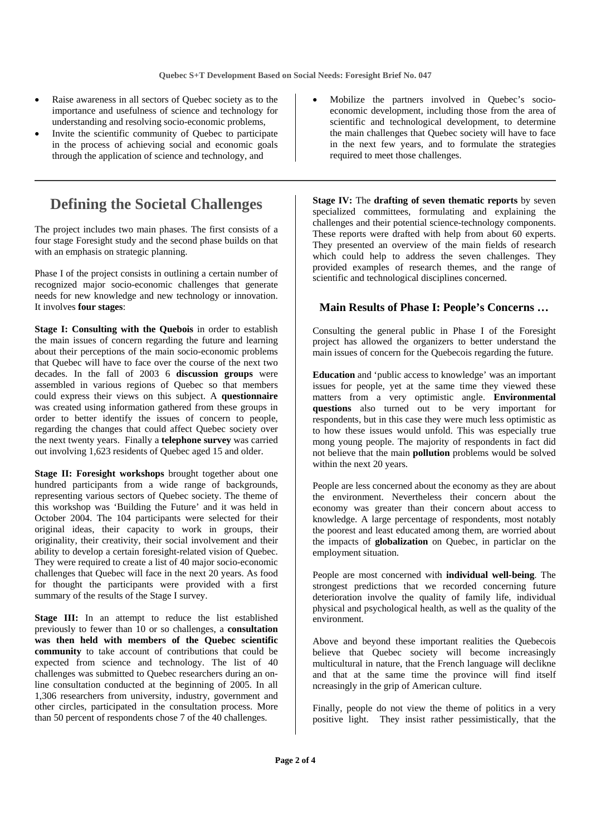- Raise awareness in all sectors of Quebec society as to the importance and usefulness of science and technology for understanding and resolving socio-economic problems,
- Invite the scientific community of Quebec to participate in the process of achieving social and economic goals through the application of science and technology, and

### **Defining the Societal Challenges**

The project includes two main phases. The first consists of a four stage Foresight study and the second phase builds on that with an emphasis on strategic planning.

Phase I of the project consists in outlining a certain number of recognized major socio-economic challenges that generate needs for new knowledge and new technology or innovation. It involves **four stages**:

**Stage I: Consulting with the Quebois** in order to establish the main issues of concern regarding the future and learning about their perceptions of the main socio-economic problems that Quebec will have to face over the course of the next two decades. In the fall of 2003 6 **discussion groups** were assembled in various regions of Quebec so that members could express their views on this subject. A **questionnaire** was created using information gathered from these groups in order to better identify the issues of concern to people, regarding the changes that could affect Quebec society over the next twenty years. Finally a **telephone survey** was carried out involving 1,623 residents of Quebec aged 15 and older.

**Stage II: Foresight workshops** brought together about one hundred participants from a wide range of backgrounds, representing various sectors of Quebec society. The theme of this workshop was 'Building the Future' and it was held in October 2004. The 104 participants were selected for their original ideas, their capacity to work in groups, their originality, their creativity, their social involvement and their ability to develop a certain foresight-related vision of Quebec. They were required to create a list of 40 major socio-economic challenges that Quebec will face in the next 20 years. As food for thought the participants were provided with a first summary of the results of the Stage I survey.

**Stage III:** In an attempt to reduce the list established previously to fewer than 10 or so challenges, a **consultation was then held with members of the Quebec scientific community** to take account of contributions that could be expected from science and technology. The list of 40 challenges was submitted to Quebec researchers during an online consultation conducted at the beginning of 2005. In all 1,306 researchers from university, industry, government and other circles, participated in the consultation process. More than 50 percent of respondents chose 7 of the 40 challenges.

• Mobilize the partners involved in Quebec's socioeconomic development, including those from the area of scientific and technological development, to determine the main challenges that Quebec society will have to face in the next few years, and to formulate the strategies required to meet those challenges.

**Stage IV:** The **drafting of seven thematic reports** by seven specialized committees, formulating and explaining the challenges and their potential science-technology components. These reports were drafted with help from about 60 experts. They presented an overview of the main fields of research which could help to address the seven challenges. They provided examples of research themes, and the range of scientific and technological disciplines concerned.

### **Main Results of Phase I: People's Concerns …**

Consulting the general public in Phase I of the Foresight project has allowed the organizers to better understand the main issues of concern for the Quebecois regarding the future.

**Education** and 'public access to knowledge' was an important issues for people, yet at the same time they viewed these matters from a very optimistic angle. **Environmental questions** also turned out to be very important for respondents, but in this case they were much less optimistic as to how these issues would unfold. This was especially true mong young people. The majority of respondents in fact did not believe that the main **pollution** problems would be solved within the next 20 years.

People are less concerned about the economy as they are about the environment. Nevertheless their concern about the economy was greater than their concern about access to knowledge. A large percentage of respondents, most notably the poorest and least educated among them, are worried about the impacts of **globalization** on Quebec, in particlar on the employment situation.

People are most concerned with **individual well-being**. The strongest predictions that we recorded concerning future deterioration involve the quality of family life, individual physical and psychological health, as well as the quality of the environment.

Above and beyond these important realities the Quebecois believe that Quebec society will become increasingly multicultural in nature, that the French language will declikne and that at the same time the province will find itself ncreasingly in the grip of American culture.

Finally, people do not view the theme of politics in a very positive light. They insist rather pessimistically, that the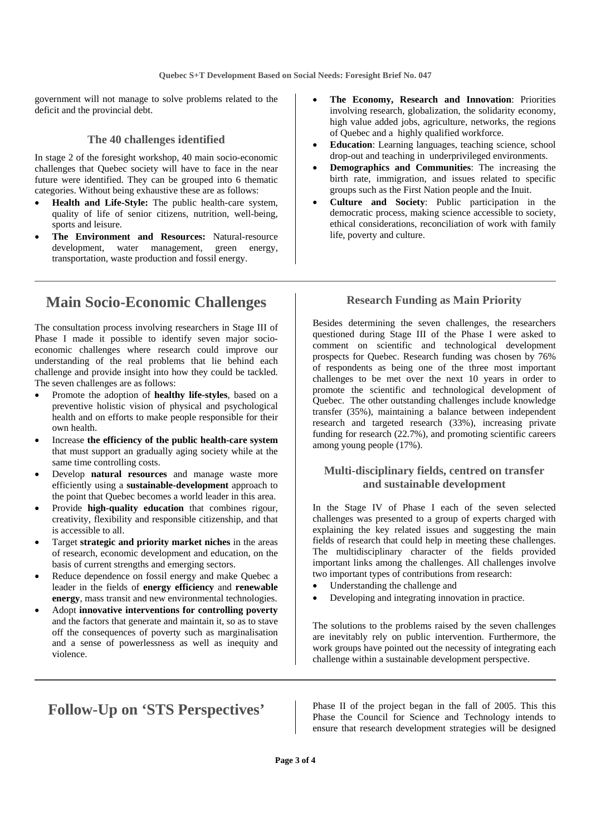government will not manage to solve problems related to the deficit and the provincial debt.

#### **The 40 challenges identified**

In stage 2 of the foresight workshop, 40 main socio-economic challenges that Quebec society will have to face in the near future were identified. They can be grouped into 6 thematic categories. Without being exhaustive these are as follows:

- **Health and Life-Style:** The public health-care system, quality of life of senior citizens, nutrition, well-being, sports and leisure.
- **The Environment and Resources:** Natural-resource development, water management, green energy, transportation, waste production and fossil energy.

### **Main Socio-Economic Challenges**

The consultation process involving researchers in Stage III of Phase I made it possible to identify seven major socioeconomic challenges where research could improve our understanding of the real problems that lie behind each challenge and provide insight into how they could be tackled. The seven challenges are as follows:

- Promote the adoption of **healthy life-styles**, based on a preventive holistic vision of physical and psychological health and on efforts to make people responsible for their own health.
- Increase **the efficiency of the public health-care system** that must support an gradually aging society while at the same time controlling costs.
- Develop **natural resources** and manage waste more efficiently using a **sustainable-development** approach to the point that Quebec becomes a world leader in this area.
- Provide **high-quality education** that combines rigour, creativity, flexibility and responsible citizenship, and that is accessible to all.
- Target **strategic and priority market niches** in the areas of research, economic development and education, on the basis of current strengths and emerging sectors.
- Reduce dependence on fossil energy and make Quebec a leader in the fields of **energy efficiency** and **renewable energy**, mass transit and new environmental technologies.
- Adopt **innovative interventions for controlling poverty** and the factors that generate and maintain it, so as to stave off the consequences of poverty such as marginalisation and a sense of powerlessness as well as inequity and violence.
- **The Economy, Research and Innovation**: Priorities involving research, globalization, the solidarity economy, high value added jobs, agriculture, networks, the regions of Quebec and a highly qualified workforce.
- **Education**: Learning languages, teaching science, school drop-out and teaching in underprivileged environments.
- **Demographics and Communities**: The increasing the birth rate, immigration, and issues related to specific groups such as the First Nation people and the Inuit.
- **Culture and Society**: Public participation in the democratic process, making science accessible to society, ethical considerations, reconciliation of work with family life, poverty and culture.

#### **Research Funding as Main Priority**

Besides determining the seven challenges, the researchers questioned during Stage III of the Phase I were asked to comment on scientific and technological development prospects for Quebec. Research funding was chosen by 76% of respondents as being one of the three most important challenges to be met over the next 10 years in order to promote the scientific and technological development of Quebec. The other outstanding challenges include knowledge transfer (35%), maintaining a balance between independent research and targeted research (33%), increasing private funding for research (22.7%), and promoting scientific careers among young people (17%).

#### **Multi-disciplinary fields, centred on transfer and sustainable development**

In the Stage IV of Phase I each of the seven selected challenges was presented to a group of experts charged with explaining the key related issues and suggesting the main fields of research that could help in meeting these challenges. The multidisciplinary character of the fields provided important links among the challenges. All challenges involve two important types of contributions from research:

- Understanding the challenge and
- Developing and integrating innovation in practice.

The solutions to the problems raised by the seven challenges are inevitably rely on public intervention. Furthermore, the work groups have pointed out the necessity of integrating each challenge within a sustainable development perspective.

Follow-Up on 'STS Perspectives' <br>
Phase II of the project began in the fall of 2005. This this Phase the Council for Science and Technology intends to ensure that research development strategies will be designed